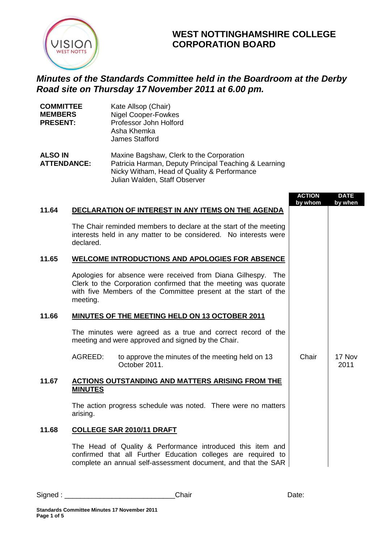

## **WEST NOTTINGHAMSHIRE COLLEGE CORPORATION BOARD**

## *Minutes of the Standards Committee held in the Boardroom at the Derby Road site on Thursday 17 November 2011 at 6.00 pm.*

| <b>COMMITTEE</b><br><b>MEMBERS</b><br><b>PRESENT:</b> | Kate Allsop (Chair)<br><b>Nigel Cooper-Fowkes</b><br>Professor John Holford<br>Asha Khemka<br><b>James Stafford</b> |
|-------------------------------------------------------|---------------------------------------------------------------------------------------------------------------------|
| <b>ALSO IN</b>                                        | Maxine Bagshaw, Clerk to the Corporation                                                                            |
| <b>ATTENDANCE:</b>                                    | Patricia Harman, Deputy Principal Teaching & Le                                                                     |

earning Nicky Witham, Head of Quality & Performance Julian Walden, Staff Observer

|       |                                                                                                                                                                                                               | <b>ACTION</b><br>by whom | <b>DATE</b><br>by when |
|-------|---------------------------------------------------------------------------------------------------------------------------------------------------------------------------------------------------------------|--------------------------|------------------------|
| 11.64 | DECLARATION OF INTEREST IN ANY ITEMS ON THE AGENDA                                                                                                                                                            |                          |                        |
|       | The Chair reminded members to declare at the start of the meeting<br>interests held in any matter to be considered. No interests were<br>declared.                                                            |                          |                        |
| 11.65 | <b>WELCOME INTRODUCTIONS AND APOLOGIES FOR ABSENCE</b>                                                                                                                                                        |                          |                        |
|       | Apologies for absence were received from Diana Gilhespy. The<br>Clerk to the Corporation confirmed that the meeting was quorate<br>with five Members of the Committee present at the start of the<br>meeting. |                          |                        |
| 11.66 | MINUTES OF THE MEETING HELD ON 13 OCTOBER 2011                                                                                                                                                                |                          |                        |
|       | The minutes were agreed as a true and correct record of the<br>meeting and were approved and signed by the Chair.                                                                                             |                          |                        |
|       | AGREED:<br>to approve the minutes of the meeting held on 13<br>October 2011.                                                                                                                                  | Chair                    | 17 Nov<br>2011         |
| 11.67 | ACTIONS OUTSTANDING AND MATTERS ARISING FROM THE<br><b>MINUTES</b>                                                                                                                                            |                          |                        |
|       | The action progress schedule was noted. There were no matters<br>arising.                                                                                                                                     |                          |                        |
| 11.68 | <b>COLLEGE SAR 2010/11 DRAFT</b>                                                                                                                                                                              |                          |                        |
|       | The Head of Quality & Performance introduced this item and<br>confirmed that all Further Education colleges are required to<br>complete an annual self-assessment document, and that the SAR                  |                          |                        |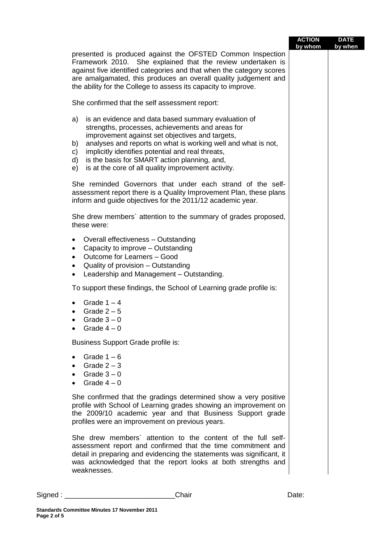|                                                                                                                                                                                                                                                                                                                                                                                                                       | <b>ACTION</b><br>by whom | <b>DATE</b><br>by when |
|-----------------------------------------------------------------------------------------------------------------------------------------------------------------------------------------------------------------------------------------------------------------------------------------------------------------------------------------------------------------------------------------------------------------------|--------------------------|------------------------|
| presented is produced against the OFSTED Common Inspection<br>Framework 2010. She explained that the review undertaken is<br>against five identified categories and that when the category scores<br>are amalgamated, this produces an overall quality judgement and<br>the ability for the College to assess its capacity to improve.                                                                                |                          |                        |
| She confirmed that the self assessment report:                                                                                                                                                                                                                                                                                                                                                                        |                          |                        |
| is an evidence and data based summary evaluation of<br>a)<br>strengths, processes, achievements and areas for<br>improvement against set objectives and targets,<br>analyses and reports on what is working well and what is not,<br>b)<br>implicitly identifies potential and real threats,<br>C)<br>is the basis for SMART action planning, and,<br>d)<br>is at the core of all quality improvement activity.<br>e) |                          |                        |
| She reminded Governors that under each strand of the self-<br>assessment report there is a Quality Improvement Plan, these plans<br>inform and guide objectives for the 2011/12 academic year.                                                                                                                                                                                                                        |                          |                        |
| She drew members' attention to the summary of grades proposed,<br>these were:                                                                                                                                                                                                                                                                                                                                         |                          |                        |
| Overall effectiveness - Outstanding<br>٠<br>Capacity to improve - Outstanding<br>$\bullet$<br>Outcome for Learners - Good<br>$\bullet$<br>Quality of provision - Outstanding<br>$\bullet$<br>Leadership and Management - Outstanding.<br>$\bullet$                                                                                                                                                                    |                          |                        |
| To support these findings, the School of Learning grade profile is:                                                                                                                                                                                                                                                                                                                                                   |                          |                        |
| Grade $1 - 4$<br>$\bullet$<br>Grade $2-5$<br>Grade $3-0$<br>Grade $4-0$                                                                                                                                                                                                                                                                                                                                               |                          |                        |
| <b>Business Support Grade profile is:</b>                                                                                                                                                                                                                                                                                                                                                                             |                          |                        |
| Grade $1 - 6$<br>$\bullet$<br>Grade $2-3$<br>٠<br>Grade $3-0$<br>Grade $4-0$                                                                                                                                                                                                                                                                                                                                          |                          |                        |
| She confirmed that the gradings determined show a very positive<br>profile with School of Learning grades showing an improvement on<br>the 2009/10 academic year and that Business Support grade<br>profiles were an improvement on previous years.                                                                                                                                                                   |                          |                        |
| She drew members' attention to the content of the full self-<br>assessment report and confirmed that the time commitment and<br>detail in preparing and evidencing the statements was significant, it<br>was acknowledged that the report looks at both strengths and<br>weaknesses.                                                                                                                                  |                          |                        |

Signed : \_\_\_\_\_\_\_\_\_\_\_\_\_\_\_\_\_\_\_\_\_\_\_\_\_\_\_\_Chair Date: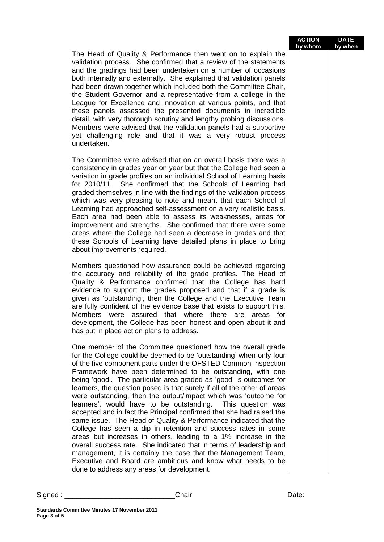|          |                                                                                                                                                                                                                                                                                                                                                                                                                                                                                                                                                                                                                                                                                                                                                                                                                                                                                                                                                                                                                                                                                            | <b>ACTION</b><br>by whom | <b>DATE</b><br>by when |
|----------|--------------------------------------------------------------------------------------------------------------------------------------------------------------------------------------------------------------------------------------------------------------------------------------------------------------------------------------------------------------------------------------------------------------------------------------------------------------------------------------------------------------------------------------------------------------------------------------------------------------------------------------------------------------------------------------------------------------------------------------------------------------------------------------------------------------------------------------------------------------------------------------------------------------------------------------------------------------------------------------------------------------------------------------------------------------------------------------------|--------------------------|------------------------|
|          | The Head of Quality & Performance then went on to explain the<br>validation process. She confirmed that a review of the statements<br>and the gradings had been undertaken on a number of occasions<br>both internally and externally. She explained that validation panels<br>had been drawn together which included both the Committee Chair,<br>the Student Governor and a representative from a college in the<br>League for Excellence and Innovation at various points, and that<br>these panels assessed the presented documents in incredible<br>detail, with very thorough scrutiny and lengthy probing discussions.<br>Members were advised that the validation panels had a supportive<br>yet challenging role and that it was a very robust process<br>undertaken.                                                                                                                                                                                                                                                                                                             |                          |                        |
|          | The Committee were advised that on an overall basis there was a<br>consistency in grades year on year but that the College had seen a<br>variation in grade profiles on an individual School of Learning basis<br>for 2010/11. She confirmed that the Schools of Learning had<br>graded themselves in line with the findings of the validation process<br>which was very pleasing to note and meant that each School of<br>Learning had approached self-assessment on a very realistic basis.<br>Each area had been able to assess its weaknesses, areas for<br>improvement and strengths. She confirmed that there were some<br>areas where the College had seen a decrease in grades and that<br>these Schools of Learning have detailed plans in place to bring<br>about improvements required.                                                                                                                                                                                                                                                                                         |                          |                        |
|          | Members questioned how assurance could be achieved regarding<br>the accuracy and reliability of the grade profiles. The Head of<br>Quality & Performance confirmed that the College has hard<br>evidence to support the grades proposed and that if a grade is<br>given as 'outstanding', then the College and the Executive Team<br>are fully confident of the evidence base that exists to support this.<br>Members were assured that where there are areas for<br>development, the College has been honest and open about it and<br>has put in place action plans to address.                                                                                                                                                                                                                                                                                                                                                                                                                                                                                                           |                          |                        |
|          | One member of the Committee questioned how the overall grade<br>for the College could be deemed to be 'outstanding' when only four<br>of the five component parts under the OFSTED Common Inspection<br>Framework have been determined to be outstanding, with one<br>being 'good'. The particular area graded as 'good' is outcomes for<br>learners, the question posed is that surely if all of the other of areas<br>were outstanding, then the output/impact which was 'outcome for<br>learners', would have to be outstanding. This question was<br>accepted and in fact the Principal confirmed that she had raised the<br>same issue. The Head of Quality & Performance indicated that the<br>College has seen a dip in retention and success rates in some<br>areas but increases in others, leading to a 1% increase in the<br>overall success rate. She indicated that in terms of leadership and<br>management, it is certainly the case that the Management Team,<br>Executive and Board are ambitious and know what needs to be<br>done to address any areas for development. |                          |                        |
| Signed : | Chair                                                                                                                                                                                                                                                                                                                                                                                                                                                                                                                                                                                                                                                                                                                                                                                                                                                                                                                                                                                                                                                                                      | Date:                    |                        |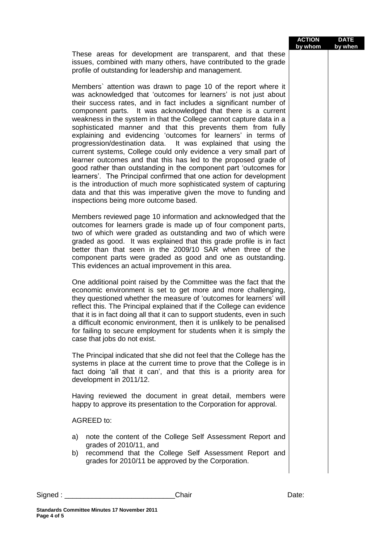|                                                                                                                                                                                                                                                                                                                                                                                                                                                                                                                                                                                                                                                                                                                                                                                                                                                                                                                                                                                                                    | by whom | by when |
|--------------------------------------------------------------------------------------------------------------------------------------------------------------------------------------------------------------------------------------------------------------------------------------------------------------------------------------------------------------------------------------------------------------------------------------------------------------------------------------------------------------------------------------------------------------------------------------------------------------------------------------------------------------------------------------------------------------------------------------------------------------------------------------------------------------------------------------------------------------------------------------------------------------------------------------------------------------------------------------------------------------------|---------|---------|
| These areas for development are transparent, and that these<br>issues, combined with many others, have contributed to the grade<br>profile of outstanding for leadership and management.                                                                                                                                                                                                                                                                                                                                                                                                                                                                                                                                                                                                                                                                                                                                                                                                                           |         |         |
| Members' attention was drawn to page 10 of the report where it<br>was acknowledged that 'outcomes for learners' is not just about<br>their success rates, and in fact includes a significant number of<br>component parts. It was acknowledged that there is a current<br>weakness in the system in that the College cannot capture data in a<br>sophisticated manner and that this prevents them from fully<br>explaining and evidencing 'outcomes for learners' in terms of<br>progression/destination data. It was explained that using the<br>current systems, College could only evidence a very small part of<br>learner outcomes and that this has led to the proposed grade of<br>good rather than outstanding in the component part 'outcomes for<br>learners'. The Principal confirmed that one action for development<br>is the introduction of much more sophisticated system of capturing<br>data and that this was imperative given the move to funding and<br>inspections being more outcome based. |         |         |
| Members reviewed page 10 information and acknowledged that the<br>outcomes for learners grade is made up of four component parts,<br>two of which were graded as outstanding and two of which were<br>graded as good. It was explained that this grade profile is in fact<br>better than that seen in the 2009/10 SAR when three of the<br>component parts were graded as good and one as outstanding.<br>This evidences an actual improvement in this area.                                                                                                                                                                                                                                                                                                                                                                                                                                                                                                                                                       |         |         |
| One additional point raised by the Committee was the fact that the<br>economic environment is set to get more and more challenging,<br>they questioned whether the measure of 'outcomes for learners' will<br>reflect this. The Principal explained that if the College can evidence<br>that it is in fact doing all that it can to support students, even in such<br>a difficult economic environment, then it is unlikely to be penalised<br>for failing to secure employment for students when it is simply the<br>case that jobs do not exist.                                                                                                                                                                                                                                                                                                                                                                                                                                                                 |         |         |
| The Principal indicated that she did not feel that the College has the<br>systems in place at the current time to prove that the College is in<br>fact doing 'all that it can', and that this is a priority area for<br>development in 2011/12.                                                                                                                                                                                                                                                                                                                                                                                                                                                                                                                                                                                                                                                                                                                                                                    |         |         |
| Having reviewed the document in great detail, members were<br>happy to approve its presentation to the Corporation for approval.                                                                                                                                                                                                                                                                                                                                                                                                                                                                                                                                                                                                                                                                                                                                                                                                                                                                                   |         |         |
| <b>AGREED to:</b>                                                                                                                                                                                                                                                                                                                                                                                                                                                                                                                                                                                                                                                                                                                                                                                                                                                                                                                                                                                                  |         |         |
| note the content of the College Self Assessment Report and<br>a)<br>grades of 2010/11, and<br>recommend that the College Self Assessment Report and<br>b)<br>grades for 2010/11 be approved by the Corporation.                                                                                                                                                                                                                                                                                                                                                                                                                                                                                                                                                                                                                                                                                                                                                                                                    |         |         |

**ACTION DATE**

**Standards Committee Minutes 17 November 2011**

Signed : \_\_\_\_\_\_\_\_\_\_\_\_\_\_\_\_\_\_\_\_\_\_\_\_\_\_\_\_Chair Date: